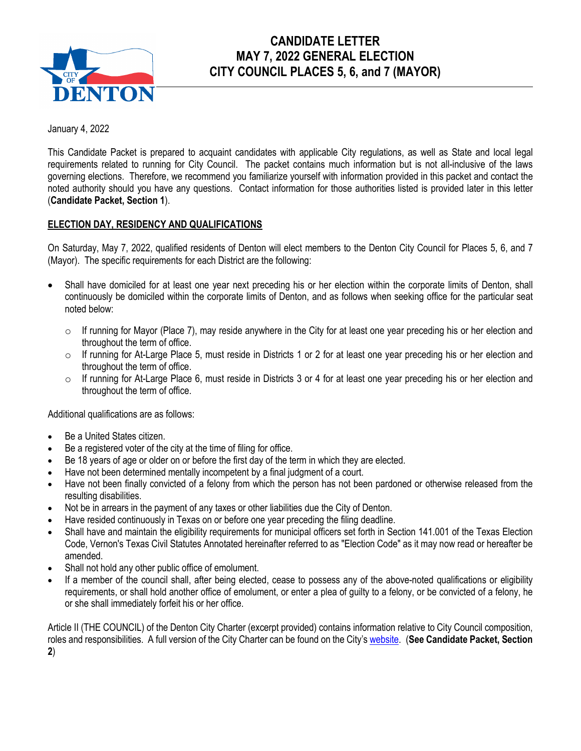

# **CANDIDATE LETTER MAY 7, 2022 GENERAL ELECTION CITY COUNCIL PLACES 5, 6, and 7 (MAYOR)**

January 4, 2022

This Candidate Packet is prepared to acquaint candidates with applicable City regulations, as well as State and local legal requirements related to running for City Council. The packet contains much information but is not all-inclusive of the laws governing elections. Therefore, we recommend you familiarize yourself with information provided in this packet and contact the noted authority should you have any questions. Contact information for those authorities listed is provided later in this letter (**Candidate Packet, Section 1**).

# **ELECTION DAY, RESIDENCY AND QUALIFICATIONS**

On Saturday, May 7, 2022, qualified residents of Denton will elect members to the Denton City Council for Places 5, 6, and 7 (Mayor). The specific requirements for each District are the following:

- Shall have domiciled for at least one year next preceding his or her election within the corporate limits of Denton, shall continuously be domiciled within the corporate limits of Denton, and as follows when seeking office for the particular seat noted below:
	- $\circ$  If running for Mayor (Place 7), may reside anywhere in the City for at least one year preceding his or her election and throughout the term of office.
	- $\circ$  If running for At-Large Place 5, must reside in Districts 1 or 2 for at least one year preceding his or her election and throughout the term of office.
	- $\circ$  If running for At-Large Place 6, must reside in Districts 3 or 4 for at least one year preceding his or her election and throughout the term of office.

Additional qualifications are as follows:

- Be a United States citizen.
- Be a registered voter of the city at the time of filing for office.
- Be 18 years of age or older on or before the first day of the term in which they are elected.
- Have not been determined mentally incompetent by a final judgment of a court.
- Have not been finally convicted of a felony from which the person has not been pardoned or otherwise released from the resulting disabilities.
- Not be in arrears in the payment of any taxes or other liabilities due the City of Denton.
- Have resided continuously in Texas on or before one year preceding the filing deadline.
- Shall have and maintain the eligibility requirements for municipal officers set forth in Section 141.001 of the Texas Election Code, Vernon's Texas Civil Statutes Annotated hereinafter referred to as "Election Code" as it may now read or hereafter be amended.
- Shall not hold any other public office of emolument.
- If a member of the council shall, after being elected, cease to possess any of the above-noted qualifications or eligibility requirements, or shall hold another office of emolument, or enter a plea of guilty to a felony, or be convicted of a felony, he or she shall immediately forfeit his or her office.

Article II (THE COUNCIL) of the Denton City Charter (excerpt provided) contains information relative to City Council composition, roles and responsibilities. A full version of the City Charter can be found on the City's [website.](https://library.municode.com/tx/denton/codes/code_of_ordinances?nodeId=PTICH_ARTIITHCO) (**See Candidate Packet, Section 2**)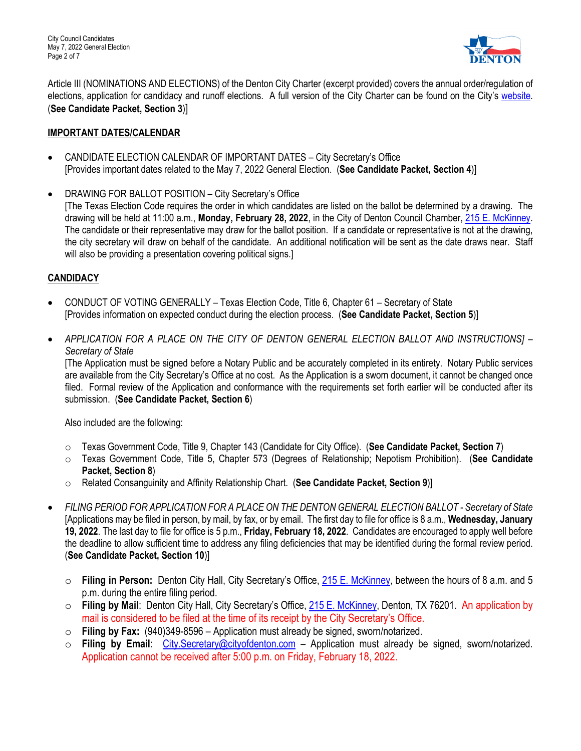City Council Candidates May 7, 2022 General Election Page 2 of 7



Article III (NOMINATIONS AND ELECTIONS) of the Denton City Charter (excerpt provided) covers the annual order/regulation of elections, application for candidacy and runoff elections. A full version of the City Charter can be found on the City's [website.](https://library.municode.com/tx/denton/codes/code_of_ordinances?nodeId=PTICH_ARTIIINOEL) (**See Candidate Packet, Section 3**)]

# **IMPORTANT DATES/CALENDAR**

- CANDIDATE ELECTION CALENDAR OF IMPORTANT DATES City Secretary's Office [Provides important dates related to the May 7, 2022 General Election. (**See Candidate Packet, Section 4**)]
- DRAWING FOR BALLOT POSITION City Secretary's Office

[The Texas Election Code requires the order in which candidates are listed on the ballot be determined by a drawing. The drawing will be held at 11:00 a.m., **Monday, February 28, 2022**, in the City of Denton Council Chamber, [215 E. McKinney.](http://mapq.st/3m3dJHc) The candidate or their representative may draw for the ballot position. If a candidate or representative is not at the drawing, the city secretary will draw on behalf of the candidate. An additional notification will be sent as the date draws near. Staff will also be providing a presentation covering political signs.]

# **CANDIDACY**

- CONDUCT OF VOTING GENERALLY Texas Election Code, Title 6, Chapter 61 Secretary of State [Provides information on expected conduct during the election process. (**See Candidate Packet, Section 5**)]
- *APPLICATION FOR A PLACE ON THE CITY OF DENTON GENERAL ELECTION BALLOT AND INSTRUCTIONS] Secretary of State*

[The Application must be signed before a Notary Public and be accurately completed in its entirety. Notary Public services are available from the City Secretary's Office at no cost. As the Application is a sworn document, it cannot be changed once filed. Formal review of the Application and conformance with the requirements set forth earlier will be conducted after its submission. (**See Candidate Packet, Section 6**)

Also included are the following:

- o Texas Government Code, Title 9, Chapter 143 (Candidate for City Office). (**See Candidate Packet, Section 7**)
- o Texas Government Code, Title 5, Chapter 573 (Degrees of Relationship; Nepotism Prohibition). (**See Candidate Packet, Section 8**)
- o Related Consanguinity and Affinity Relationship Chart. (**See Candidate Packet, Section 9**)]
- *FILING PERIOD FOR APPLICATION FOR A PLACE ON THE DENTON GENERAL ELECTION BALLOT - Secretary of State* [Applications may be filed in person, by mail, by fax, or by email. The first day to file for office is 8 a.m., **Wednesday, January 19, 2022**. The last day to file for office is 5 p.m., **Friday, February 18, 2022**. Candidates are encouraged to apply well before the deadline to allow sufficient time to address any filing deficiencies that may be identified during the formal review period. (**See Candidate Packet, Section 10**)]
	- o **Filing in Person:** Denton City Hall, City Secretary's Office, [215 E. McKinney,](http://mapq.st/3m3dJHc) between the hours of 8 a.m. and 5 p.m. during the entire filing period.
	- o **Filing by Mail**: Denton City Hall, City Secretary's Office, [215 E. McKinney,](http://mapq.st/3m3dJHc) Denton, TX 76201. An application by mail is considered to be filed at the time of its receipt by the City Secretary's Office.
	- o **Filing by Fax:** (940)349-8596 Application must already be signed, sworn/notarized.
	- o **Filing by Email**: [City.Secretary@cityofdenton.com](mailto:City.Secretary@cityofdenton.com) Application must already be signed, sworn/notarized. Application cannot be received after 5:00 p.m. on Friday, February 18, 2022.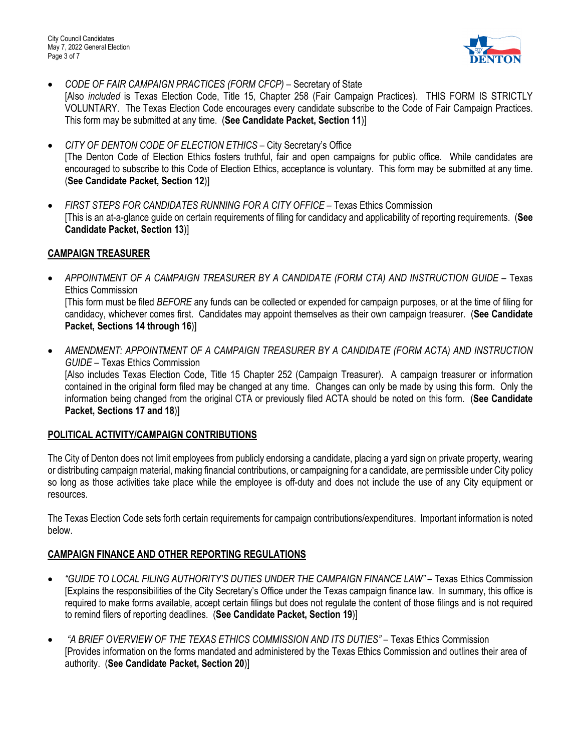City Council Candidates May 7, 2022 General Election Page 3 of 7



- *CODE OF FAIR CAMPAIGN PRACTICES (FORM CFCP) –* Secretary of State [Also *included* is Texas Election Code, Title 15, Chapter 258 (Fair Campaign Practices). THIS FORM IS STRICTLY VOLUNTARY. The Texas Election Code encourages every candidate subscribe to the Code of Fair Campaign Practices. This form may be submitted at any time. (**See Candidate Packet, Section 11**)]
- *CITY OF DENTON CODE OF ELECTION ETHICS –* City Secretary's Office [The Denton Code of Election Ethics fosters truthful, fair and open campaigns for public office. While candidates are encouraged to subscribe to this Code of Election Ethics, acceptance is voluntary. This form may be submitted at any time. (**See Candidate Packet, Section 12**)]
- *FIRST STEPS FOR CANDIDATES RUNNING FOR A CITY OFFICE –* Texas Ethics Commission [This is an at-a-glance guide on certain requirements of filing for candidacy and applicability of reporting requirements. (**See Candidate Packet, Section 13**)]

# **CAMPAIGN TREASURER**

- *APPOINTMENT OF A CAMPAIGN TREASURER BY A CANDIDATE (FORM CTA) AND INSTRUCTION GUIDE –* Texas Ethics Commission [This form must be filed *BEFORE* any funds can be collected or expended for campaign purposes, or at the time of filing for candidacy, whichever comes first. Candidates may appoint themselves as their own campaign treasurer. (**See Candidate Packet, Sections 14 through 16**)]
- *AMENDMENT: APPOINTMENT OF A CAMPAIGN TREASURER BY A CANDIDATE (FORM ACTA) AND INSTRUCTION GUIDE –* Texas Ethics Commission [Also includes Texas Election Code, Title 15 Chapter 252 (Campaign Treasurer). A campaign treasurer or information contained in the original form filed may be changed at any time. Changes can only be made by using this form. Only the information being changed from the original CTA or previously filed ACTA should be noted on this form. (**See Candidate Packet, Sections 17 and 18**)]

# **POLITICAL ACTIVITY/CAMPAIGN CONTRIBUTIONS**

The City of Denton does not limit employees from publicly endorsing a candidate, placing a yard sign on private property, wearing or distributing campaign material, making financial contributions, or campaigning for a candidate, are permissible under City policy so long as those activities take place while the employee is off-duty and does not include the use of any City equipment or resources.

The Texas Election Code sets forth certain requirements for campaign contributions/expenditures. Important information is noted below.

# **CAMPAIGN FINANCE AND OTHER REPORTING REGULATIONS**

- *"GUIDE TO LOCAL FILING AUTHORITY'S DUTIES UNDER THE CAMPAIGN FINANCE LAW"* Texas Ethics Commission [Explains the responsibilities of the City Secretary's Office under the Texas campaign finance law. In summary, this office is required to make forms available, accept certain filings but does not regulate the content of those filings and is not required to remind filers of reporting deadlines. (**See Candidate Packet, Section 19**)]
- *"A BRIEF OVERVIEW OF THE TEXAS ETHICS COMMISSION AND ITS DUTIES" –* Texas Ethics Commission [Provides information on the forms mandated and administered by the Texas Ethics Commission and outlines their area of authority. (**See Candidate Packet, Section 20**)]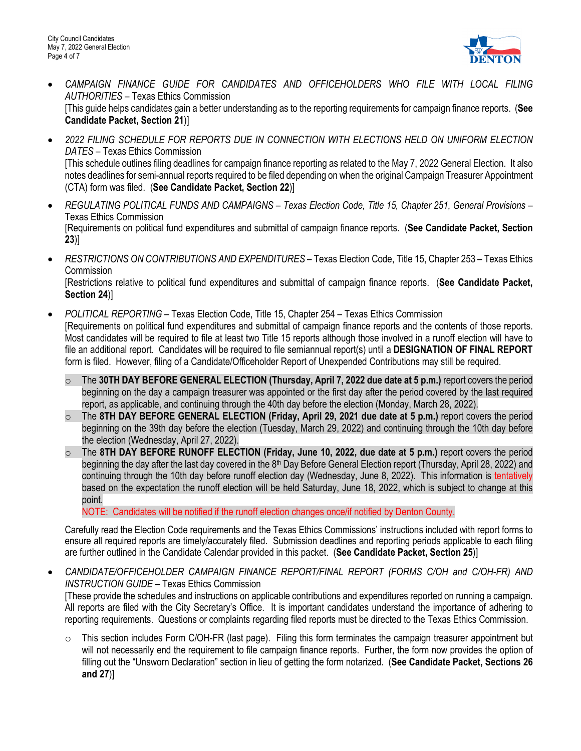

- *CAMPAIGN FINANCE GUIDE FOR CANDIDATES AND OFFICEHOLDERS WHO FILE WITH LOCAL FILING AUTHORITIES –* Texas Ethics Commission [This guide helps candidates gain a better understanding as to the reporting requirements for campaign finance reports. (**See Candidate Packet, Section 21**)]
- *2022 FILING SCHEDULE FOR REPORTS DUE IN CONNECTION WITH ELECTIONS HELD ON UNIFORM ELECTION DATES –* Texas Ethics Commission [This schedule outlines filing deadlines for campaign finance reporting as related to the May 7, 2022 General Election. It also notes deadlines for semi-annual reports required to be filed depending on when the original Campaign Treasurer Appointment (CTA) form was filed. (**See Candidate Packet, Section 22**)]
- *REGULATING POLITICAL FUNDS AND CAMPAIGNS – Texas Election Code, Title 15, Chapter 251, General Provisions* Texas Ethics Commission [Requirements on political fund expenditures and submittal of campaign finance reports. (**See Candidate Packet, Section 23**)]
- *RESTRICTIONS ON CONTRIBUTIONS AND EXPENDITURES –* Texas Election Code, Title 15, Chapter 253 Texas Ethics **Commission**

[Restrictions relative to political fund expenditures and submittal of campaign finance reports. (**See Candidate Packet, Section 24**)]

- *POLITICAL REPORTING –* Texas Election Code, Title 15, Chapter 254 Texas Ethics Commission [Requirements on political fund expenditures and submittal of campaign finance reports and the contents of those reports. Most candidates will be required to file at least two Title 15 reports although those involved in a runoff election will have to file an additional report. Candidates will be required to file semiannual report(s) until a **DESIGNATION OF FINAL REPORT**  form is filed. However, filing of a Candidate/Officeholder Report of Unexpended Contributions may still be required.
	- o The **30TH DAY BEFORE GENERAL ELECTION (Thursday, April 7, 2022 due date at 5 p.m.)** report covers the period beginning on the day a campaign treasurer was appointed or the first day after the period covered by the last required report, as applicable, and continuing through the 40th day before the election (Monday, March 28, 2022).
	- o The **8TH DAY BEFORE GENERAL ELECTION (Friday, April 29, 2021 due date at 5 p.m.)** report covers the period beginning on the 39th day before the election (Tuesday, March 29, 2022) and continuing through the 10th day before the election (Wednesday, April 27, 2022).
	- o The **8TH DAY BEFORE RUNOFF ELECTION (Friday, June 10, 2022, due date at 5 p.m.)** report covers the period beginning the day after the last day covered in the 8<sup>th</sup> Day Before General Election report (Thursday, April 28, 2022) and continuing through the 10th day before runoff election day (Wednesday, June 8, 2022). This information is tentatively based on the expectation the runoff election will be held Saturday, June 18, 2022, which is subject to change at this point.

NOTE: Candidates will be notified if the runoff election changes once/if notified by Denton County.

Carefully read the Election Code requirements and the Texas Ethics Commissions' instructions included with report forms to ensure all required reports are timely/accurately filed. Submission deadlines and reporting periods applicable to each filing are further outlined in the Candidate Calendar provided in this packet. (**See Candidate Packet, Section 25**)]

• *CANDIDATE/OFFICEHOLDER CAMPAIGN FINANCE REPORT/FINAL REPORT (FORMS C/OH and C/OH-FR) AND INSTRUCTION GUIDE –* Texas Ethics Commission

[These provide the schedules and instructions on applicable contributions and expenditures reported on running a campaign*.*  All reports are filed with the City Secretary's Office. It is important candidates understand the importance of adhering to reporting requirements. Questions or complaints regarding filed reports must be directed to the Texas Ethics Commission.

 $\circ$  This section includes Form C/OH-FR (last page). Filing this form terminates the campaign treasurer appointment but will not necessarily end the requirement to file campaign finance reports. Further, the form now provides the option of filling out the "Unsworn Declaration" section in lieu of getting the form notarized. (**See Candidate Packet, Sections 26 and 27**)]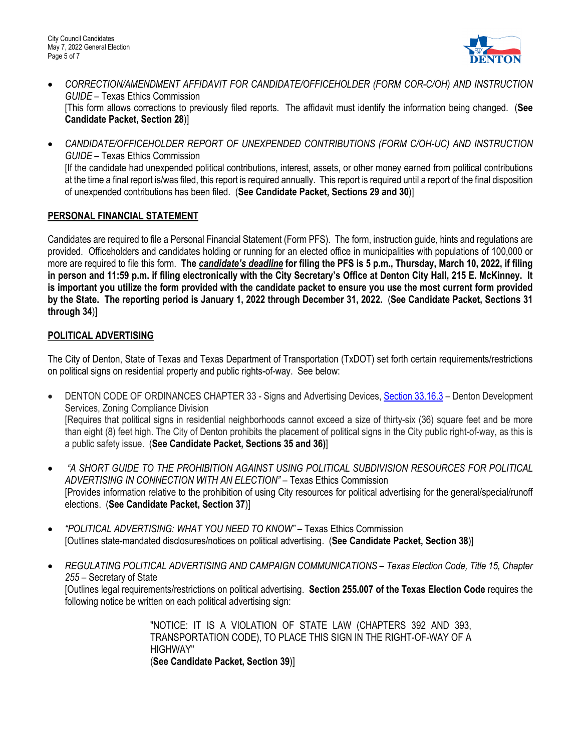

- *CORRECTION/AMENDMENT AFFIDAVIT FOR CANDIDATE/OFFICEHOLDER (FORM COR-C/OH) AND INSTRUCTION GUIDE –* Texas Ethics Commission [This form allows corrections to previously filed reports. The affidavit must identify the information being changed. (**See Candidate Packet, Section 28**)]
- *CANDIDATE/OFFICEHOLDER REPORT OF UNEXPENDED CONTRIBUTIONS (FORM C/OH-UC) AND INSTRUCTION GUIDE –* Texas Ethics Commission [If the candidate had unexpended political contributions, interest, assets, or other money earned from political contributions at the time a final report is/was filed, this report is required annually. This report is required until a report of the final disposition of unexpended contributions has been filed. (**See Candidate Packet, Sections 29 and 30**)]

# **PERSONAL FINANCIAL STATEMENT**

Candidates are required to file a Personal Financial Statement (Form PFS). The form, instruction guide, hints and regulations are provided. Officeholders and candidates holding or running for an elected office in municipalities with populations of 100,000 or more are required to file this form. **The** *candidate's deadline* **for filing the PFS is 5 p.m., Thursday, March 10, 2022, if filing in person and 11:59 p.m. if filing electronically with the City Secretary's Office at Denton City Hall, 215 E. McKinney. It is important you utilize the form provided with the candidate packet to ensure you use the most current form provided by the State. The reporting period is January 1, 2022 through December 31, 2022.** (**See Candidate Packet, Sections 31 through 34**)]

# **POLITICAL ADVERTISING**

The City of Denton, State of Texas and Texas Department of Transportation (TxDOT) set forth certain requirements/restrictions on political signs on residential property and public rights-of-way. See below:

- DENTON CODE OF ORDINANCES CHAPTER 33 Signs and Advertising Devices[, Section 33.16.3](https://library.municode.com/tx/denton/codes/code_of_ordinances?nodeId=SPBLADECO_CH33SIADDE_S33-16TESI) Denton Development Services, Zoning Compliance Division [Requires that political signs in residential neighborhoods cannot exceed a size of thirty-six (36) square feet and be more than eight (8) feet high. The City of Denton prohibits the placement of political signs in the City public right-of-way, as this is a public safety issue. (**See Candidate Packet, Sections 35 and 36)**]
- *"A SHORT GUIDE TO THE PROHIBITION AGAINST USING POLITICAL SUBDIVISION RESOURCES FOR POLITICAL ADVERTISING IN CONNECTION WITH AN ELECTION" –* Texas Ethics Commission [Provides information relative to the prohibition of using City resources for political advertising for the general/special/runoff elections. (**See Candidate Packet, Section 37**)]
- *"POLITICAL ADVERTISING: WHAT YOU NEED TO KNOW" –* Texas Ethics Commission [Outlines state-mandated disclosures/notices on political advertising. (**See Candidate Packet, Section 38**)]
- *REGULATING POLITICAL ADVERTISING AND CAMPAIGN COMMUNICATIONS – Texas Election Code, Title 15, Chapter 255 –* Secretary of State [Outlines legal requirements/restrictions on political advertising. **Section 255.007 of the Texas Election Code** requires the following notice be written on each political advertising sign:

"NOTICE: IT IS A VIOLATION OF STATE LAW (CHAPTERS 392 AND 393, TRANSPORTATION CODE), TO PLACE THIS SIGN IN THE RIGHT-OF-WAY OF A HIGHWAY" (**See Candidate Packet, Section 39**)]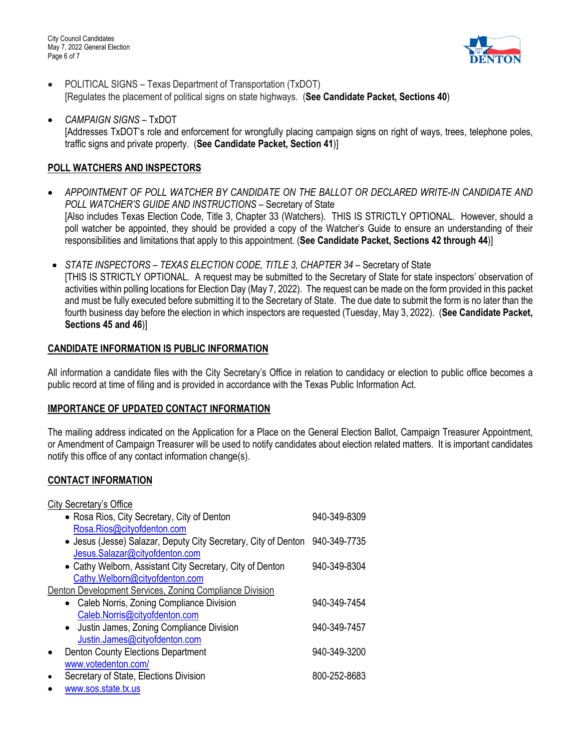City Council Candidates May 7, 2022 General Election Page 6 of 7



- POLITICAL SIGNS Texas Department of Transportation (TxDOT) [Regulates the placement of political signs on state highways. (**See Candidate Packet, Sections 40**)
- *CAMPAIGN SIGNS –* TxDOT [Addresses TxDOT's role and enforcement for wrongfully placing campaign signs on right of ways, trees, telephone poles, traffic signs and private property. (**See Candidate Packet, Section 41**)]

# **POLL WATCHERS AND INSPECTORS**

- *APPOINTMENT OF POLL WATCHER BY CANDIDATE ON THE BALLOT OR DECLARED WRITE-IN CANDIDATE AND POLL WATCHER'S GUIDE AND INSTRUCTIONS* – Secretary of State [Also includes Texas Election Code, Title 3, Chapter 33 (Watchers). THIS IS STRICTLY OPTIONAL. However, should a poll watcher be appointed, they should be provided a copy of the Watcher's Guide to ensure an understanding of their responsibilities and limitations that apply to this appointment. (**See Candidate Packet, Sections 42 through 44**)]
- *STATE INSPECTORS – TEXAS ELECTION CODE, TITLE 3, CHAPTER 34 –* Secretary of State [THIS IS STRICTLY OPTIONAL. A request may be submitted to the Secretary of State for state inspectors' observation of activities within polling locations for Election Day (May 7, 2022). The request can be made on the form provided in this packet and must be fully executed before submitting it to the Secretary of State. The due date to submit the form is no later than the fourth business day before the election in which inspectors are requested (Tuesday, May 3, 2022). (**See Candidate Packet, Sections 45 and 46**)]

# **CANDIDATE INFORMATION IS PUBLIC INFORMATION**

All information a candidate files with the City Secretary's Office in relation to candidacy or election to public office becomes a public record at time of filing and is provided in accordance with the Texas Public Information Act.

#### **IMPORTANCE OF UPDATED CONTACT INFORMATION**

The mailing address indicated on the Application for a Place on the General Election Ballot, Campaign Treasurer Appointment, or Amendment of Campaign Treasurer will be used to notify candidates about election related matters. It is important candidates notify this office of any contact information change(s).

# **CONTACT INFORMATION**

| City Secretary's Office                                                     |              |  |  |
|-----------------------------------------------------------------------------|--------------|--|--|
| • Rosa Rios, City Secretary, City of Denton                                 | 940-349-8309 |  |  |
| Rosa.Rios@cityofdenton.com                                                  |              |  |  |
| • Jesus (Jesse) Salazar, Deputy City Secretary, City of Denton 940-349-7735 |              |  |  |
| Jesus.Salazar@cityofdenton.com                                              |              |  |  |
| • Cathy Welborn, Assistant City Secretary, City of Denton                   | 940-349-8304 |  |  |
| Cathy.Welborn@cityofdenton.com                                              |              |  |  |
| Denton Development Services, Zoning Compliance Division                     |              |  |  |
| • Caleb Norris, Zoning Compliance Division                                  | 940-349-7454 |  |  |
| Caleb.Norris@cityofdenton.com                                               |              |  |  |
| Justin James, Zoning Compliance Division<br>$\bullet$                       | 940-349-7457 |  |  |
| Justin.James@cityofdenton.com                                               |              |  |  |
| <b>Denton County Elections Department</b><br>$\bullet$                      | 940-349-3200 |  |  |
| www.votedenton.com/                                                         |              |  |  |
| Secretary of State, Elections Division<br>$\bullet$                         | 800-252-8683 |  |  |
| www.sos.state.tx.us<br>$\bullet$                                            |              |  |  |